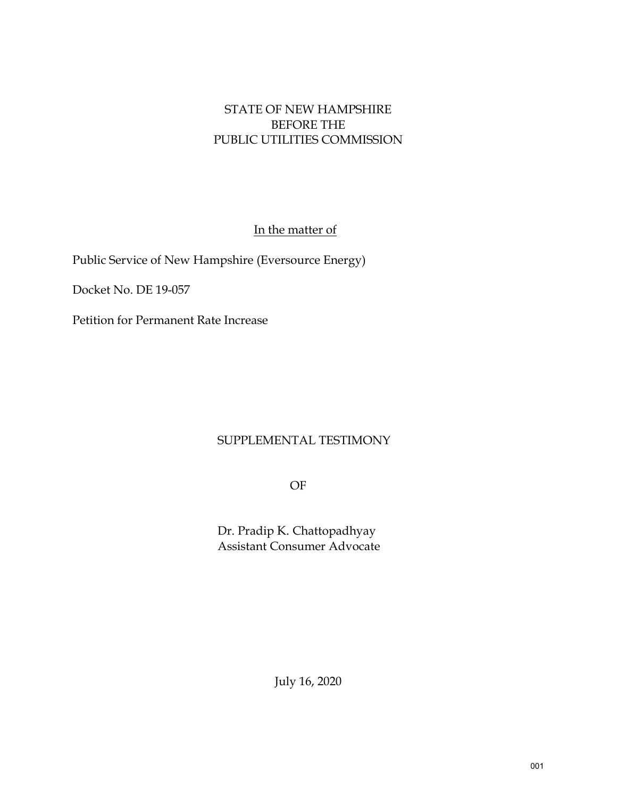## STATE OF NEW HAMPSHIRE BEFORE THE PUBLIC UTILITIES COMMISSION

In the matter of

Public Service of New Hampshire (Eversource Energy)

Docket No. DE 19-057

Petition for Permanent Rate Increase

## SUPPLEMENTAL TESTIMONY

OF

Dr. Pradip K. Chattopadhyay Assistant Consumer Advocate

July 16, 2020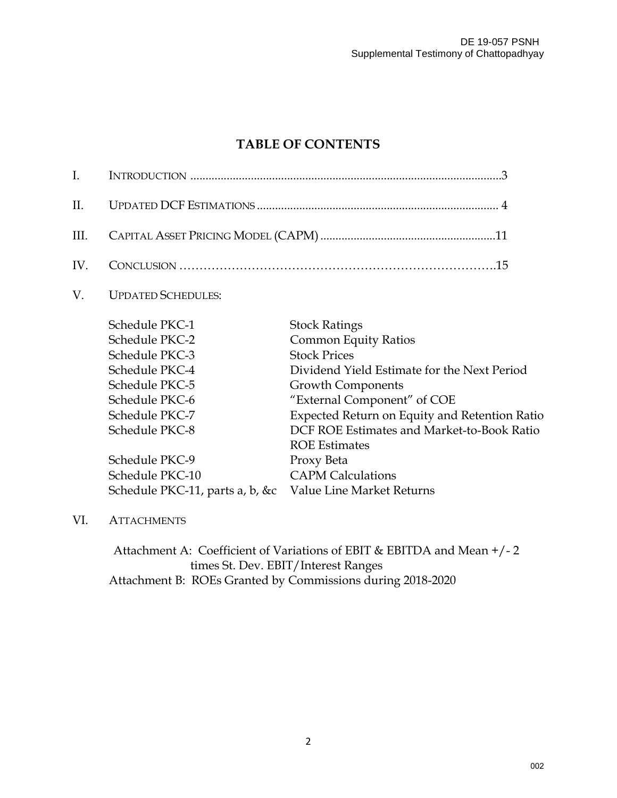## **TABLE OF CONTENTS**

| I.   |                                 |                                               |
|------|---------------------------------|-----------------------------------------------|
| Π.   |                                 |                                               |
| III. |                                 |                                               |
| IV.  |                                 |                                               |
| V.   | <b>UPDATED SCHEDULES:</b>       |                                               |
|      | Schedule PKC-1                  | <b>Stock Ratings</b>                          |
|      | Schedule PKC-2                  | <b>Common Equity Ratios</b>                   |
|      | Schedule PKC-3                  | <b>Stock Prices</b>                           |
|      | Schedule PKC-4                  | Dividend Yield Estimate for the Next Period   |
|      | Schedule PKC-5                  | Growth Components                             |
|      | Schedule PKC-6                  | "External Component" of COE                   |
|      | Schedule PKC-7                  | Expected Return on Equity and Retention Ratio |
|      | Schedule PKC-8                  | DCF ROE Estimates and Market-to-Book Ratio    |
|      |                                 | <b>ROE Estimates</b>                          |
|      | Schedule PKC-9                  | Proxy Beta                                    |
|      | Schedule PKC-10                 | <b>CAPM Calculations</b>                      |
|      | Schedule PKC-11, parts a, b, &c | Value Line Market Returns                     |
|      |                                 |                                               |

VI. ATTACHMENTS

Attachment A: Coefficient of Variations of EBIT & EBITDA and Mean +/- 2 times St. Dev. EBIT/Interest Ranges Attachment B: ROEs Granted by Commissions during 2018-2020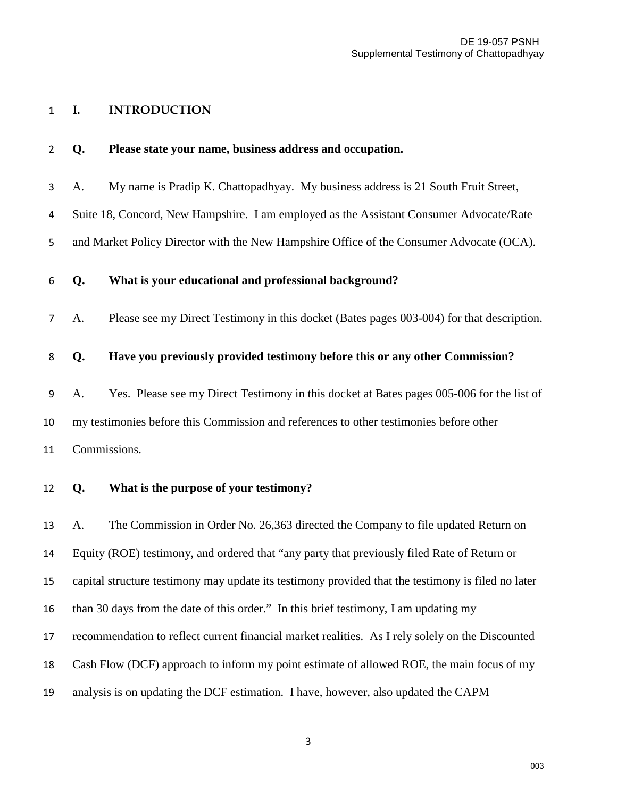#### **I. INTRODUCTION**

|  |  | <b>Please state your name, business address and occupation.</b> |  |  |  |  |
|--|--|-----------------------------------------------------------------|--|--|--|--|
|--|--|-----------------------------------------------------------------|--|--|--|--|

A. My name is Pradip K. Chattopadhyay. My business address is 21 South Fruit Street,

Suite 18, Concord, New Hampshire. I am employed as the Assistant Consumer Advocate/Rate

and Market Policy Director with the New Hampshire Office of the Consumer Advocate (OCA).

#### **Q. What is your educational and professional background?**

A. Please see my Direct Testimony in this docket (Bates pages 003-004) for that description.

#### **Q. Have you previously provided testimony before this or any other Commission?**

A. Yes. Please see my Direct Testimony in this docket at Bates pages 005-006 for the list of my testimonies before this Commission and references to other testimonies before other Commissions.

**Q. What is the purpose of your testimony?** 

 A. The Commission in Order No. 26,363 directed the Company to file updated Return on Equity (ROE) testimony, and ordered that "any party that previously filed Rate of Return or capital structure testimony may update its testimony provided that the testimony is filed no later than 30 days from the date of this order." In this brief testimony, I am updating my recommendation to reflect current financial market realities. As I rely solely on the Discounted Cash Flow (DCF) approach to inform my point estimate of allowed ROE, the main focus of my analysis is on updating the DCF estimation. I have, however, also updated the CAPM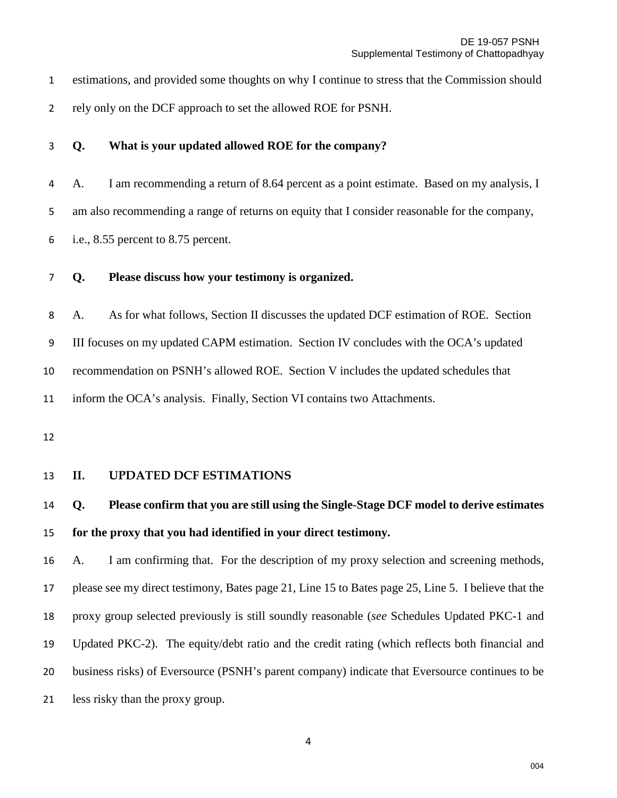estimations, and provided some thoughts on why I continue to stress that the Commission should rely only on the DCF approach to set the allowed ROE for PSNH.

**Q. What is your updated allowed ROE for the company?** 

A. I am recommending a return of 8.64 percent as a point estimate. Based on my analysis, I am also recommending a range of returns on equity that I consider reasonable for the company, i.e., 8.55 percent to 8.75 percent.

### **Q. Please discuss how your testimony is organized.**

A. As for what follows, Section II discusses the updated DCF estimation of ROE. Section III focuses on my updated CAPM estimation. Section IV concludes with the OCA's updated recommendation on PSNH's allowed ROE. Section V includes the updated schedules that inform the OCA's analysis. Finally, Section VI contains two Attachments.

#### **II. UPDATED DCF ESTIMATIONS**

## **Q. Please confirm that you are still using the Single-Stage DCF model to derive estimates for the proxy that you had identified in your direct testimony.**

 A. I am confirming that. For the description of my proxy selection and screening methods, please see my direct testimony, Bates page 21, Line 15 to Bates page 25, Line 5. I believe that the proxy group selected previously is still soundly reasonable (*see* Schedules Updated PKC-1 and Updated PKC-2). The equity/debt ratio and the credit rating (which reflects both financial and business risks) of Eversource (PSNH's parent company) indicate that Eversource continues to be less risky than the proxy group.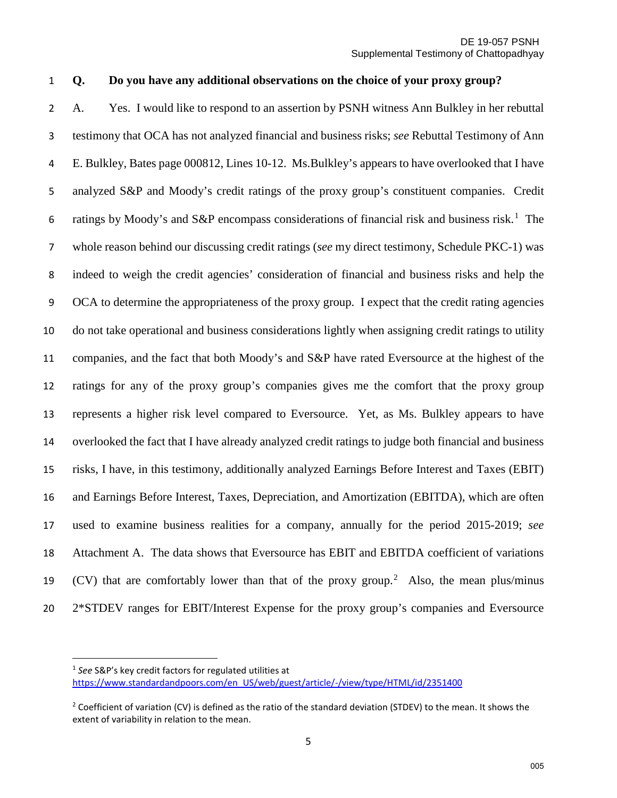### **Q. Do you have any additional observations on the choice of your proxy group?**

A. Yes. I would like to respond to an assertion by PSNH witness Ann Bulkley in her rebuttal testimony that OCA has not analyzed financial and business risks; *see* Rebuttal Testimony of Ann E. Bulkley, Bates page 000812, Lines 10-12. Ms.Bulkley's appears to have overlooked that I have analyzed S&P and Moody's credit ratings of the proxy group's constituent companies. Credit 6 ratings by Moody's and S&P encompass considerations of financial risk and business risk.<sup>[1](#page-4-0)</sup> The whole reason behind our discussing credit ratings (*see* my direct testimony, Schedule PKC-1) was indeed to weigh the credit agencies' consideration of financial and business risks and help the OCA to determine the appropriateness of the proxy group. I expect that the credit rating agencies do not take operational and business considerations lightly when assigning credit ratings to utility companies, and the fact that both Moody's and S&P have rated Eversource at the highest of the ratings for any of the proxy group's companies gives me the comfort that the proxy group represents a higher risk level compared to Eversource. Yet, as Ms. Bulkley appears to have overlooked the fact that I have already analyzed credit ratings to judge both financial and business risks, I have, in this testimony, additionally analyzed Earnings Before Interest and Taxes (EBIT) and Earnings Before Interest, Taxes, Depreciation, and Amortization (EBITDA), which are often used to examine business realities for a company, annually for the period 2015-2019; *see* Attachment A. The data shows that Eversource has EBIT and EBITDA coefficient of variations 19 (CV) that are comfortably lower than that of the proxy group.<sup>[2](#page-4-1)</sup> Also, the mean plus/minus 2\*STDEV ranges for EBIT/Interest Expense for the proxy group's companies and Eversource

 $\overline{a}$ 

<span id="page-4-0"></span> *See* S&P's key credit factors for regulated utilities at [https://www.standardandpoors.com/en\\_US/web/guest/article/-/view/type/HTML/id/2351400](https://www.standardandpoors.com/en_US/web/guest/article/-/view/type/HTML/id/2351400)

<span id="page-4-1"></span><sup>&</sup>lt;sup>2</sup> Coefficient of variation (CV) is defined as the ratio of the standard deviation (STDEV) to the mean. It shows the extent of variability in relation to the mean.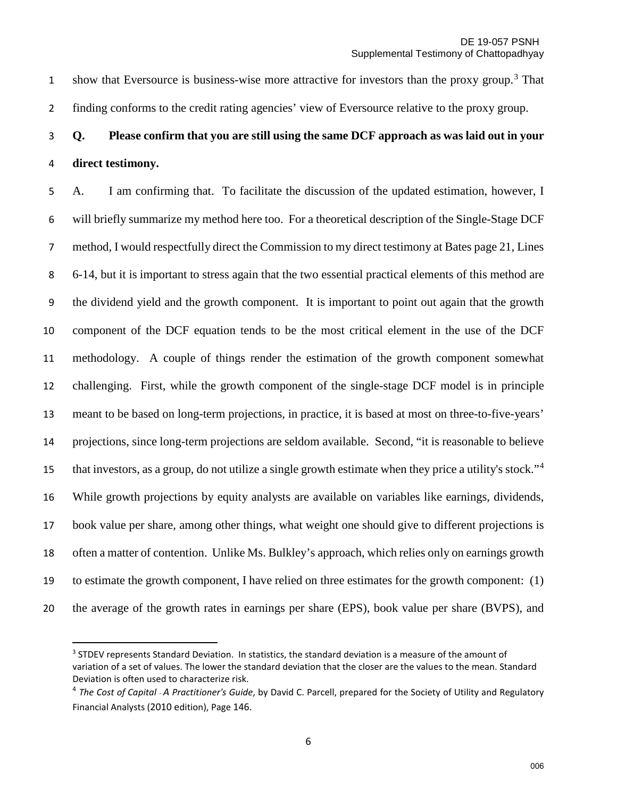1 show that Eversource is business-wise more attractive for investors than the proxy group.<sup>[3](#page-5-0)</sup> That finding conforms to the credit rating agencies' view of Eversource relative to the proxy group.

# **Q. Please confirm that you are still using the same DCF approach as was laid out in your direct testimony.**

A. I am confirming that. To facilitate the discussion of the updated estimation, however, I will briefly summarize my method here too. For a theoretical description of the Single-Stage DCF method, I would respectfully direct the Commission to my direct testimony at Bates page 21, Lines 6-14, but it is important to stress again that the two essential practical elements of this method are the dividend yield and the growth component. It is important to point out again that the growth component of the DCF equation tends to be the most critical element in the use of the DCF methodology. A couple of things render the estimation of the growth component somewhat challenging. First, while the growth component of the single-stage DCF model is in principle meant to be based on long-term projections, in practice, it is based at most on three-to-five-years' projections, since long-term projections are seldom available. Second, "it is reasonable to believe that investors, as a group, do not utilize a single growth estimate when they price a utility's stock."<sup>[4](#page-5-1)</sup> While growth projections by equity analysts are available on variables like earnings, dividends, book value per share, among other things, what weight one should give to different projections is often a matter of contention. Unlike Ms. Bulkley's approach, which relies only on earnings growth to estimate the growth component, I have relied on three estimates for the growth component: (1) the average of the growth rates in earnings per share (EPS), book value per share (BVPS), and

<span id="page-5-0"></span><sup>&</sup>lt;sup>3</sup> STDEV represents Standard Deviation. In statistics, the standard deviation is a measure of the amount of variation of a set of values. The lower the standard deviation that the closer are the values to the mean. Standard Deviation is often used to characterize risk.<br><sup>4</sup> *The Cost of Capital - A Practitioner's Guide, by David C. Parcell, prepared for the Society of Utility and Regulatory* 

<span id="page-5-1"></span>Financial Analysts (2010 edition), Page 146.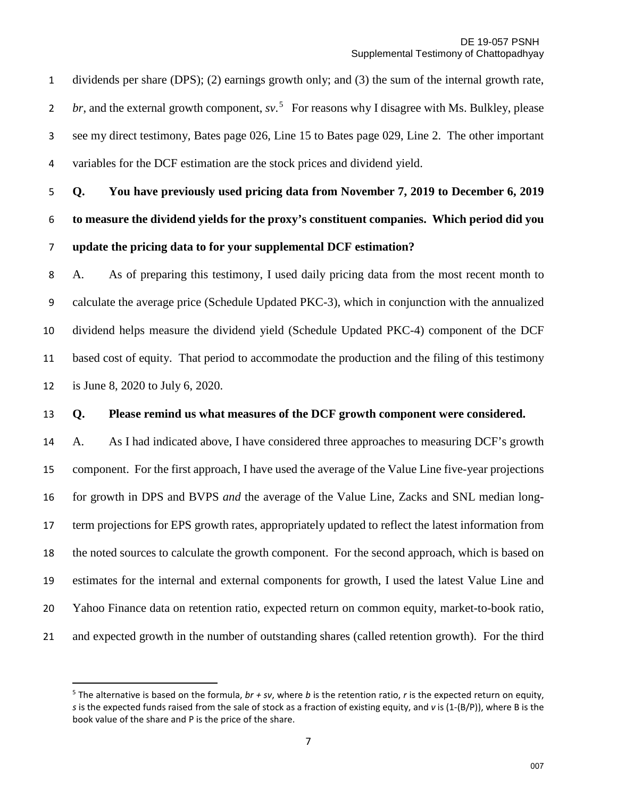dividends per share (DPS); (2) earnings growth only; and (3) the sum of the internal growth rate, *br*, and the external growth component, *sv*.<sup>[5](#page-6-0)</sup> For reasons why I disagree with Ms. Bulkley, please see my direct testimony, Bates page 026, Line 15 to Bates page 029, Line 2. The other important variables for the DCF estimation are the stock prices and dividend yield.

**Q. You have previously used pricing data from November 7, 2019 to December 6, 2019 to measure the dividend yields for the proxy's constituent companies. Which period did you update the pricing data to for your supplemental DCF estimation?** 

A. As of preparing this testimony, I used daily pricing data from the most recent month to calculate the average price (Schedule Updated PKC-3), which in conjunction with the annualized dividend helps measure the dividend yield (Schedule Updated PKC-4) component of the DCF based cost of equity. That period to accommodate the production and the filing of this testimony is June 8, 2020 to July 6, 2020.

#### **Q. Please remind us what measures of the DCF growth component were considered.**

 A. As I had indicated above, I have considered three approaches to measuring DCF's growth component. For the first approach, I have used the average of the Value Line five-year projections for growth in DPS and BVPS *and* the average of the Value Line, Zacks and SNL median long- term projections for EPS growth rates, appropriately updated to reflect the latest information from the noted sources to calculate the growth component. For the second approach, which is based on estimates for the internal and external components for growth, I used the latest Value Line and Yahoo Finance data on retention ratio, expected return on common equity, market-to-book ratio, and expected growth in the number of outstanding shares (called retention growth). For the third

<span id="page-6-0"></span> The alternative is based on the formula, *br + sv*, where *b* is the retention ratio, *r* is the expected return on equity, *s* is the expected funds raised from the sale of stock as a fraction of existing equity, and *v* is (1-(B/P)), where B is the book value of the share and P is the price of the share.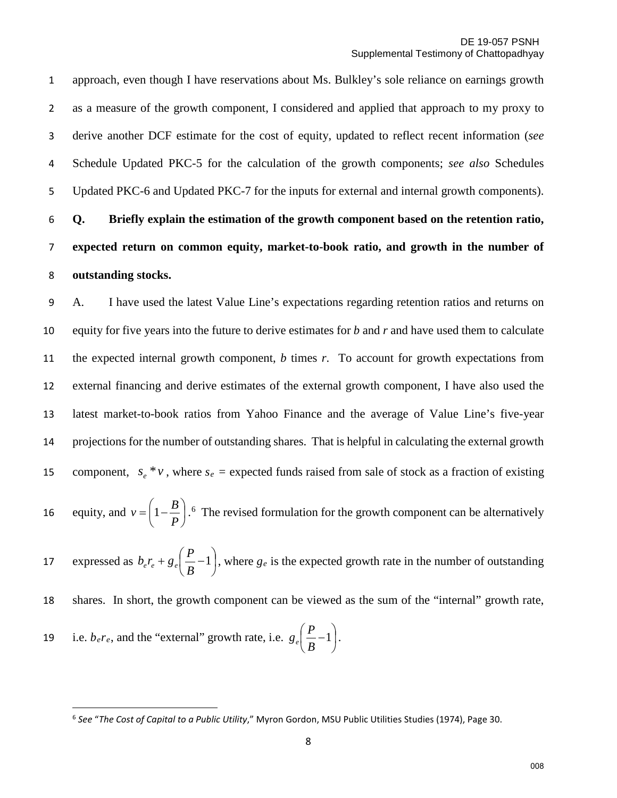approach, even though I have reservations about Ms. Bulkley's sole reliance on earnings growth as a measure of the growth component, I considered and applied that approach to my proxy to derive another DCF estimate for the cost of equity, updated to reflect recent information (*see* Schedule Updated PKC-5 for the calculation of the growth components; *see also* Schedules Updated PKC-6 and Updated PKC-7 for the inputs for external and internal growth components).

# 6 **Q. Briefly explain the estimation of the growth component based on the retention ratio,**  7 **expected return on common equity, market-to-book ratio, and growth in the number of**  8 **outstanding stocks.**

9 A. I have used the latest Value Line's expectations regarding retention ratios and returns on 10 equity for five years into the future to derive estimates for *b* and *r* and have used them to calculate 11 the expected internal growth component, *b* times *r*. To account for growth expectations from 12 external financing and derive estimates of the external growth component, I have also used the 13 latest market-to-book ratios from Yahoo Finance and the average of Value Line's five-year 14 projections for the number of outstanding shares. That is helpful in calculating the external growth 15 component,  $s_e * v$ , where  $s_e$  = expected funds raised from sale of stock as a fraction of existing 1[6](#page-7-0) equity, and  $v = \left(1 - \frac{B}{R}\right)$ .<sup>6</sup> The revised formulation for the growth component can be alternatively expressed as  $b_e r_e + g_e \left( \frac{1}{R_e} - 1 \right)$ J  $\left(\frac{P}{P}-1\right)$  $\setminus$  $+ g_e \left( \frac{P}{R} - 1 \right)$ 17 expressed as  $b_e r_e + g_e \left(\frac{P}{B} - 1\right)$ , where  $g_e$  is the expected growth rate in the number of outstanding  $\bigg)$  $\left(1-\frac{B}{R}\right)$  $v = \left(1 - \frac{B}{P}\right)$ 

18 shares. In short, the growth component can be viewed as the sum of the "internal" growth rate,

19 i.e.  $b_e r_e$ , and the "external" growth rate, i.e.  $g_e\left(-1\right)$ . J  $\left(\frac{P}{P} - 1\right)$ Y  $\frac{P}{P}-1$ *B*  $g_e \left( \frac{P}{P} \right)$ 

<span id="page-7-0"></span><sup>6</sup> *See* "*The Cost of Capital to a Public Utility*," Myron Gordon, MSU Public Utilities Studies (1974), Page 30.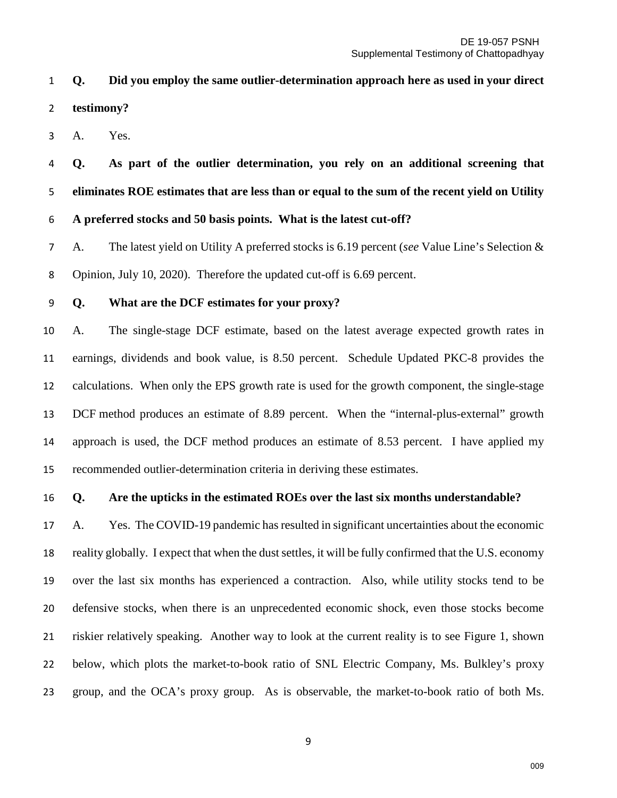**Q. Did you employ the same outlier-determination approach here as used in your direct testimony?** 

A. Yes.

**Q. As part of the outlier determination, you rely on an additional screening that eliminates ROE estimates that are less than or equal to the sum of the recent yield on Utility A preferred stocks and 50 basis points. What is the latest cut-off?** 

A. The latest yield on Utility A preferred stocks is 6.19 percent (*see* Value Line's Selection & Opinion, July 10, 2020). Therefore the updated cut-off is 6.69 percent.

**Q. What are the DCF estimates for your proxy?**

 A.The single-stage DCF estimate, based on the latest average expected growth rates in earnings, dividends and book value, is 8.50 percent. Schedule Updated PKC-8 provides the calculations. When only the EPS growth rate is used for the growth component, the single-stage DCF method produces an estimate of 8.89 percent. When the "internal-plus-external" growth approach is used, the DCF method produces an estimate of 8.53 percent. I have applied my recommended outlier-determination criteria in deriving these estimates.

#### **Q. Are the upticks in the estimated ROEs over the last six months understandable?**

 A. Yes. The COVID-19 pandemic has resulted in significant uncertainties about the economic reality globally. I expect that when the dust settles, it will be fully confirmed that the U.S. economy over the last six months has experienced a contraction. Also, while utility stocks tend to be defensive stocks, when there is an unprecedented economic shock, even those stocks become riskier relatively speaking. Another way to look at the current reality is to see Figure 1, shown below, which plots the market-to-book ratio of SNL Electric Company, Ms. Bulkley's proxy group, and the OCA's proxy group. As is observable, the market-to-book ratio of both Ms.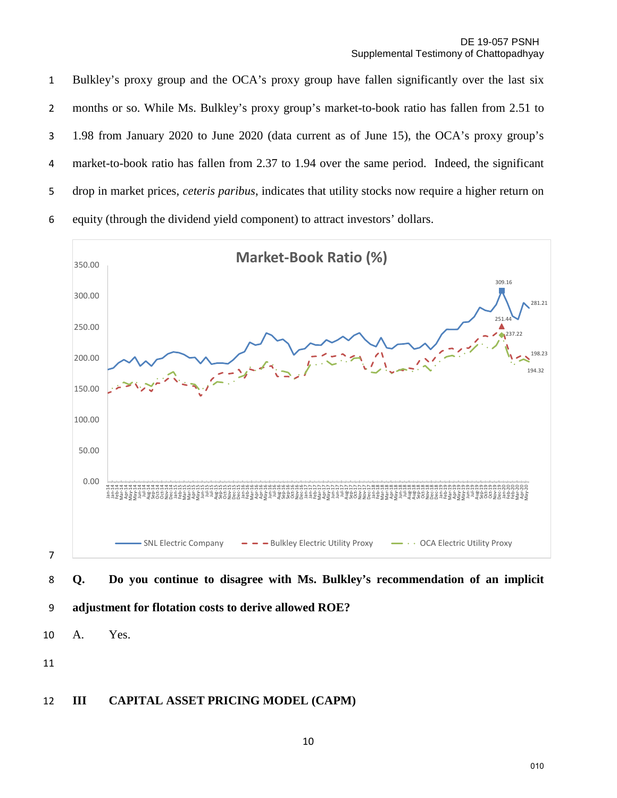Bulkley's proxy group and the OCA's proxy group have fallen significantly over the last six months or so. While Ms. Bulkley's proxy group's market-to-book ratio has fallen from 2.51 to 1.98 from January 2020 to June 2020 (data current as of June 15), the OCA's proxy group's market-to-book ratio has fallen from 2.37 to 1.94 over the same period. Indeed, the significant drop in market prices, *ceteris paribus*, indicates that utility stocks now require a higher return on equity (through the dividend yield component) to attract investors' dollars.



### 9 **adjustment for flotation costs to derive allowed ROE?**

10 A. Yes.

11

### 12 **III CAPITAL ASSET PRICING MODEL (CAPM)**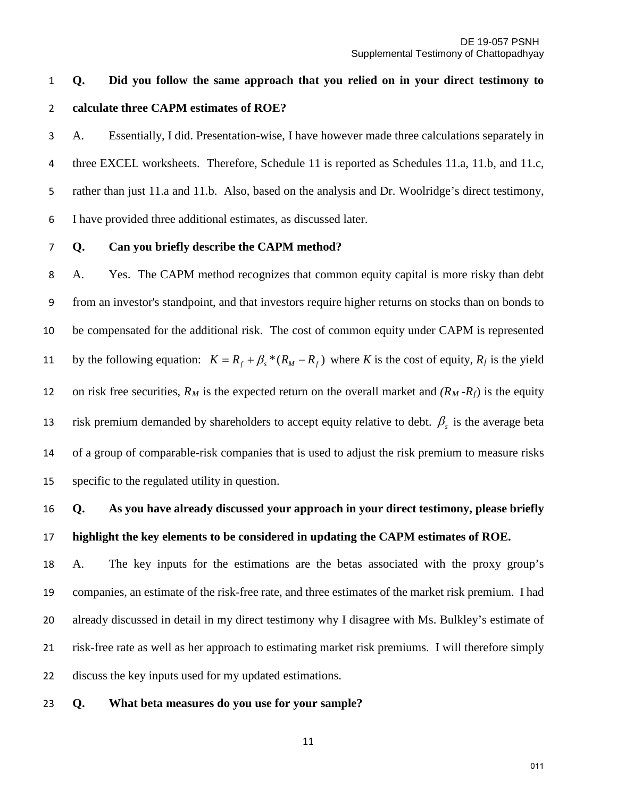## **Q. Did you follow the same approach that you relied on in your direct testimony to calculate three CAPM estimates of ROE?**

A. Essentially, I did. Presentation-wise, I have however made three calculations separately in 4 three EXCEL worksheets. Therefore, Schedule 11 is reported as Schedules 11.a, 11.b, and 11.c, rather than just 11.a and 11.b. Also, based on the analysis and Dr. Woolridge's direct testimony, I have provided three additional estimates, as discussed later.

#### **Q. Can you briefly describe the CAPM method?**

A. Yes. The CAPM method recognizes that common equity capital is more risky than debt from an investor's standpoint, and that investors require higher returns on stocks than on bonds to be compensated for the additional risk. The cost of common equity under CAPM is represented by the following equation:  $K = R_f + \beta_s * (R_M - R_f)$  where *K* is the cost of equity,  $R_f$  is the yield 12 on risk free securities,  $R_M$  is the expected return on the overall market and  $(R_M - R_f)$  is the equity 13 is the average beta risk premium demanded by shareholders to accept equity relative to debt.  $\beta_s$  is the average beta of a group of comparable-risk companies that is used to adjust the risk premium to measure risks specific to the regulated utility in question.

# **Q. As you have already discussed your approach in your direct testimony, please briefly highlight the key elements to be considered in updating the CAPM estimates of ROE.**

 A. The key inputs for the estimations are the betas associated with the proxy group's companies, an estimate of the risk-free rate, and three estimates of the market risk premium. I had already discussed in detail in my direct testimony why I disagree with Ms. Bulkley's estimate of risk-free rate as well as her approach to estimating market risk premiums. I will therefore simply discuss the key inputs used for my updated estimations.

#### **Q. What beta measures do you use for your sample?**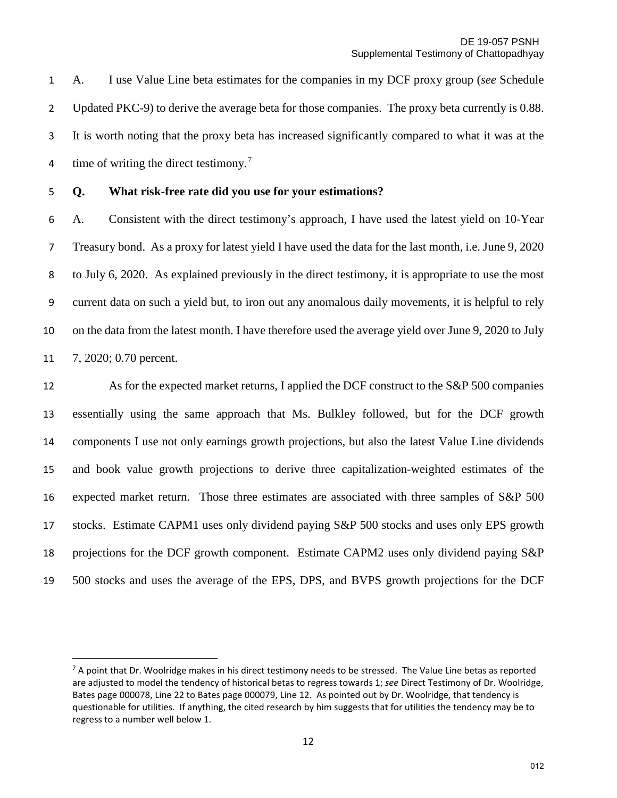A. I use Value Line beta estimates for the companies in my DCF proxy group (*see* Schedule Updated PKC-9) to derive the average beta for those companies. The proxy beta currently is 0.88. It is worth noting that the proxy beta has increased significantly compared to what it was at the 4 time of writing the direct testimony.<sup>[7](#page-11-0)</sup>

 $\overline{a}$ 

### **Q. What risk-free rate did you use for your estimations?**

A. Consistent with the direct testimony's approach, I have used the latest yield on 10-Year Treasury bond. As a proxy for latest yield I have used the data for the last month, i.e. June 9, 2020 to July 6, 2020. As explained previously in the direct testimony, it is appropriate to use the most current data on such a yield but, to iron out any anomalous daily movements, it is helpful to rely on the data from the latest month. I have therefore used the average yield over June 9, 2020 to July 7, 2020; 0.70 percent.

 As for the expected market returns, I applied the DCF construct to the S&P 500 companies essentially using the same approach that Ms. Bulkley followed, but for the DCF growth components I use not only earnings growth projections, but also the latest Value Line dividends and book value growth projections to derive three capitalization-weighted estimates of the expected market return. Those three estimates are associated with three samples of S&P 500 stocks. Estimate CAPM1 uses only dividend paying S&P 500 stocks and uses only EPS growth projections for the DCF growth component. Estimate CAPM2 uses only dividend paying S&P 500 stocks and uses the average of the EPS, DPS, and BVPS growth projections for the DCF

<span id="page-11-0"></span> A point that Dr. Woolridge makes in his direct testimony needs to be stressed. The Value Line betas as reported are adjusted to model the tendency of historical betas to regress towards 1; *see* Direct Testimony of Dr. Woolridge, Bates page 000078, Line 22 to Bates page 000079, Line 12. As pointed out by Dr. Woolridge, that tendency is questionable for utilities. If anything, the cited research by him suggests that for utilities the tendency may be to regress to a number well below 1.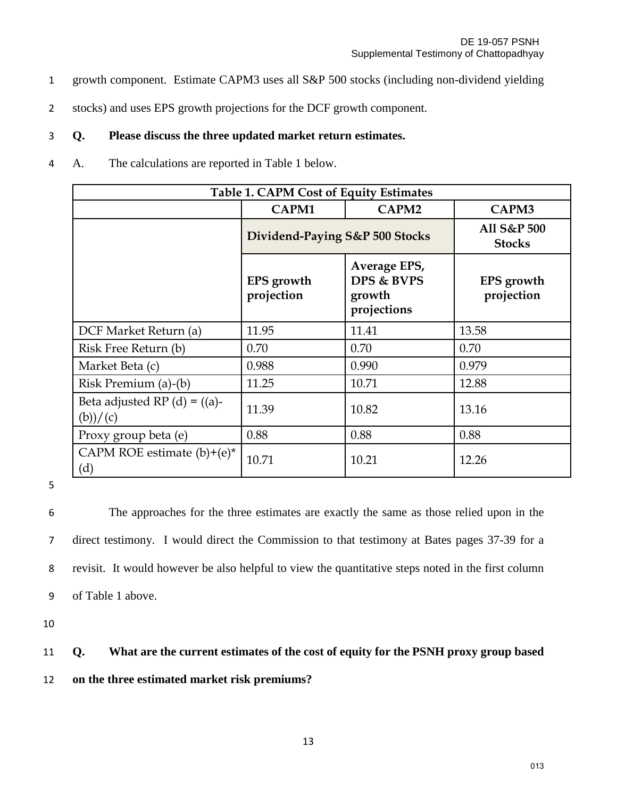- 1 growth component. Estimate CAPM3 uses all S&P 500 stocks (including non-dividend yielding
- 2 stocks) and uses EPS growth projections for the DCF growth component.

### 3 **Q. Please discuss the three updated market return estimates.**

4 A. The calculations are reported in Table 1 below.

| <b>Table 1. CAPM Cost of Equity Estimates</b> |                                 |                                                     |                                 |  |  |
|-----------------------------------------------|---------------------------------|-----------------------------------------------------|---------------------------------|--|--|
|                                               | CAPM1                           | CAPM2                                               | CAPM3                           |  |  |
|                                               | Dividend-Paying S&P 500 Stocks  |                                                     | All S&P 500<br><b>Stocks</b>    |  |  |
|                                               | <b>EPS</b> growth<br>projection | Average EPS,<br>DPS & BVPS<br>growth<br>projections | <b>EPS</b> growth<br>projection |  |  |
| DCF Market Return (a)                         | 11.95                           | 11.41                                               | 13.58                           |  |  |
| Risk Free Return (b)                          | 0.70                            | 0.70                                                | 0.70                            |  |  |
| Market Beta (c)                               | 0.988                           | 0.990                                               | 0.979                           |  |  |
| Risk Premium (a)-(b)                          | 11.25                           | 10.71                                               | 12.88                           |  |  |
| Beta adjusted RP $(d) = ((a)-$<br>(b))/c)     | 11.39                           | 10.82                                               | 13.16                           |  |  |
| Proxy group beta (e)                          | 0.88                            | 0.88                                                | 0.88                            |  |  |
| CAPM ROE estimate $(b)+(e)^*$<br>(d)          | 10.71                           | 10.21                                               | 12.26                           |  |  |

5

The approaches for the three estimates are exactly the same as those relied upon in the direct testimony. I would direct the Commission to that testimony at Bates pages 37-39 for a revisit. It would however be also helpful to view the quantitative steps noted in the first column of Table 1 above.

10

## 11 **Q. What are the current estimates of the cost of equity for the PSNH proxy group based**

12 **on the three estimated market risk premiums?**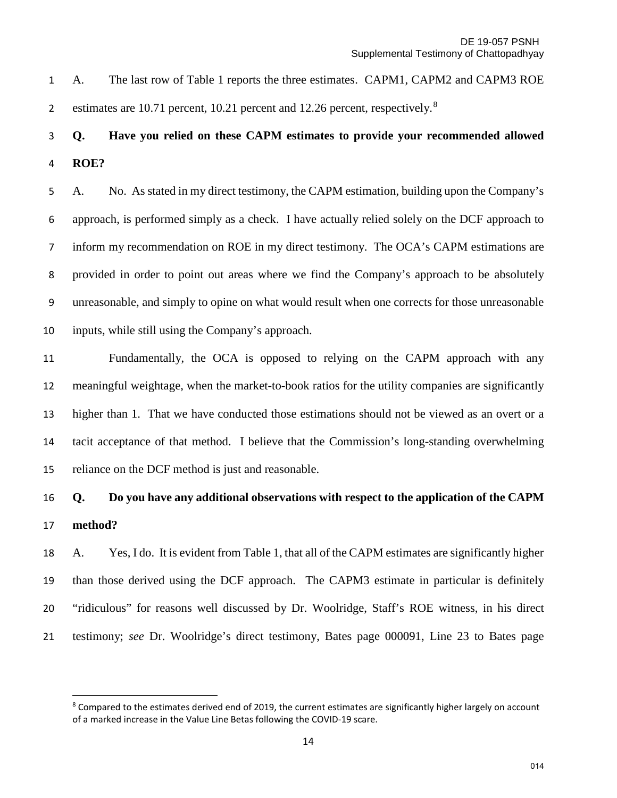A. The last row of Table 1 reports the three estimates. CAPM1, CAPM2 and CAPM3 ROE estimates are 10.71 percent, 10.21 percent and 12.26 percent, respectively.<sup>[8](#page-13-0)</sup>

## **Q. Have you relied on these CAPM estimates to provide your recommended allowed ROE?**

A. No. As stated in my direct testimony, the CAPM estimation, building upon the Company's approach, is performed simply as a check. I have actually relied solely on the DCF approach to inform my recommendation on ROE in my direct testimony. The OCA's CAPM estimations are provided in order to point out areas where we find the Company's approach to be absolutely unreasonable, and simply to opine on what would result when one corrects for those unreasonable inputs, while still using the Company's approach.

 Fundamentally, the OCA is opposed to relying on the CAPM approach with any meaningful weightage, when the market-to-book ratios for the utility companies are significantly higher than 1. That we have conducted those estimations should not be viewed as an overt or a tacit acceptance of that method. I believe that the Commission's long-standing overwhelming reliance on the DCF method is just and reasonable.

# **Q. Do you have any additional observations with respect to the application of the CAPM method?**

 A. Yes, I do.It is evident from Table 1, that all of the CAPM estimates are significantly higher than those derived using the DCF approach. The CAPM3 estimate in particular is definitely "ridiculous" for reasons well discussed by Dr. Woolridge, Staff's ROE witness, in his direct testimony; *see* Dr. Woolridge's direct testimony, Bates page 000091, Line 23 to Bates page

 $\overline{a}$ 

<span id="page-13-0"></span><sup>&</sup>lt;sup>8</sup> Compared to the estimates derived end of 2019, the current estimates are significantly higher largely on account of a marked increase in the Value Line Betas following the COVID-19 scare.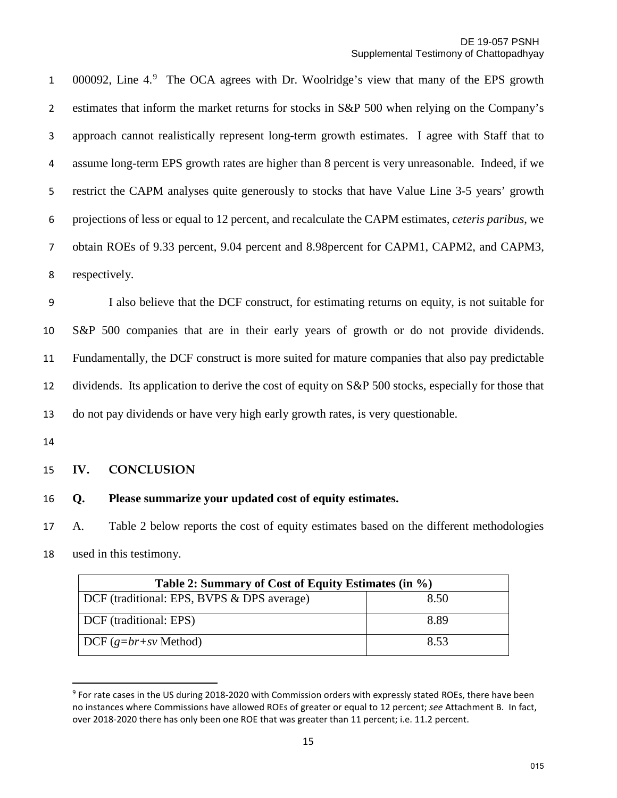1 0000[9](#page-14-0)2, Line 4.<sup>9</sup> The OCA agrees with Dr. Woolridge's view that many of the EPS growth estimates that inform the market returns for stocks in S&P 500 when relying on the Company's approach cannot realistically represent long-term growth estimates. I agree with Staff that to assume long-term EPS growth rates are higher than 8 percent is very unreasonable. Indeed, if we restrict the CAPM analyses quite generously to stocks that have Value Line 3-5 years' growth projections of less or equal to 12 percent, and recalculate the CAPM estimates, *ceteris paribus*, we obtain ROEs of 9.33 percent, 9.04 percent and 8.98percent for CAPM1, CAPM2, and CAPM3, respectively.

I also believe that the DCF construct, for estimating returns on equity, is not suitable for S&P 500 companies that are in their early years of growth or do not provide dividends. Fundamentally, the DCF construct is more suited for mature companies that also pay predictable dividends. Its application to derive the cost of equity on S&P 500 stocks, especially for those that do not pay dividends or have very high early growth rates, is very questionable.

#### **IV. CONCLUSION**

### **Q. Please summarize your updated cost of equity estimates.**

A. Table 2 below reports the cost of equity estimates based on the different methodologies

used in this testimony.

| Table 2: Summary of Cost of Equity Estimates (in %) |      |  |  |  |
|-----------------------------------------------------|------|--|--|--|
| DCF (traditional: EPS, BVPS & DPS average)          | 8.50 |  |  |  |
| DCF (traditional: EPS)                              | 8.89 |  |  |  |
| $\vert$ DCF $(g=br+sv$ Method)                      | 8.53 |  |  |  |

<span id="page-14-0"></span> For rate cases in the US during 2018-2020 with Commission orders with expressly stated ROEs, there have been no instances where Commissions have allowed ROEs of greater or equal to 12 percent; *see* Attachment B. In fact, over 2018-2020 there has only been one ROE that was greater than 11 percent; i.e. 11.2 percent.